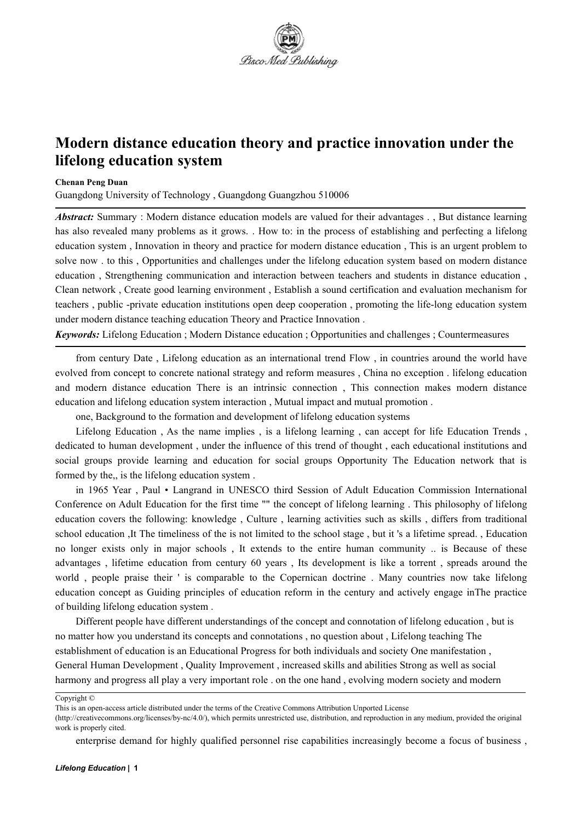

## **Modern distance education theory and practice innovation under the lifelong education system**

## **Chenan Peng Duan**

Guangdong University of Technology , Guangdong Guangzhou 510006

*Abstract:* Summary : Modern distance education models are valued for their advantages . , But distance learning has also revealed many problems as it grows. . How to: in the process of establishing and perfecting a lifelong education system , Innovation in theory and practice for modern distance education , This is an urgent problem to solve now . to this , Opportunities and challenges under the lifelong education system based on modern distance education , Strengthening communication and interaction between teachers and students in distance education , Clean network , Create good learning environment , Establish a sound certification and evaluation mechanism for teachers , public -private education institutions open deep cooperation , promoting the life-long education system under modern distance teaching education Theory and Practice Innovation .

*Keywords:* Lifelong Education ; Modern Distance education ; Opportunities and challenges ; Countermeasures

from century Date , Lifelong education as an international trend Flow , in countries around the world have evolved from concept to concrete national strategy and reform measures, China no exception . lifelong education and modern distance education There is an intrinsic connection , This connection makes modern distance education and lifelong education system interaction , Mutual impact and mutual promotion .

one, Background to the formation and development of lifelong education systems

Lifelong Education, As the name implies, is a lifelong learning, can accept for life Education Trends, dedicated to human development, under the influence of this trend of thought, each educational institutions and social groups provide learning and education for social groups Opportunity The Education network that is formed by the,, is the lifelong education system .

in 1965 Year , Paul • Langrand in UNESCO third Session of Adult Education Commission International Conference on Adult Education for the first time "" the concept of lifelong learning . This philosophy of lifelong education covers the following: knowledge , Culture , learning activities such as skills , differs from traditional school education ,It The timeliness of the is not limited to the school stage, but it 's a lifetime spread., Education no longer exists only in major schools, It extends to the entire human community .. is Because of these advantages , lifetime education from century 60 years, Its development is like a torrent , spreads around the world , people praise their ' is comparable to the Copernican doctrine . Many countries now take lifelong education concept as Guiding principles of education reform in the century and actively engage inThe practice of building lifelong education system .

Different people have different understandings of the concept and connotation of lifelong education, but is no matter how you understand its concepts and connotations , no question about ,Lifelong teaching The establishment of education is an Educational Progress for both individuals and society One manifestation , General Human Development, Quality Improvement, increased skills and abilities Strong as well as social harmony and progress all play a very important role . on the one hand, evolving modern society and modern

Copyright ©

This is an open-access article distributed under the terms of the Creative Commons Attribution Unported License

<sup>(</sup>http://creativecommons.org/licenses/by-nc/4.0/), which permits unrestricted use, distribution, and reproduction in any medium, provided the original work is properly cited.

enterprise demand for highly qualified personnel rise capabilities increasingly become a focus of business,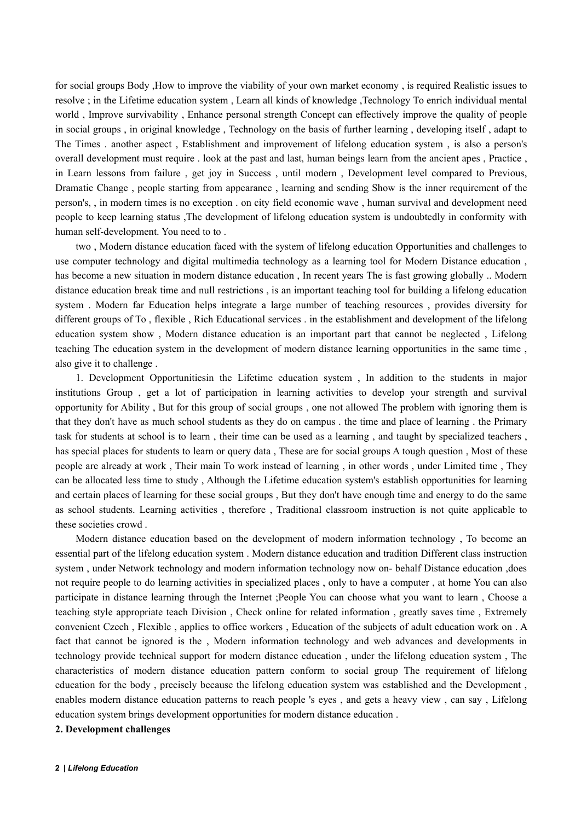for social groups Body ,How to improve the viability of your own market economy , is required Realistic issues to resolve ; in the Lifetime education system , Learn all kinds of knowledge ,Technology To enrich individual mental world , Improve survivability , Enhance personal strength Concept can effectively improve the quality of people in social groups, in original knowledge, Technology on the basis of further learning, developing itself, adapt to The Times . another aspect , Establishment and improvement of lifelong education system , is also a person's overall development must require . look at the past and last, human beings learn from the ancient apes , Practice , in Learn lessons from failure , get joy in Success , until modern , Development level compared to Previous, Dramatic Change , people starting from appearance , learning and sending Show is the inner requirement of the person's, , in modern times is no exception . on city field economic wave, human survival and development need people to keep learning status ,The development of lifelong education system is undoubtedly in conformity with human self-development. You need to to .<br>two , Modern distance education faced with the system of lifelong education Opportunities and challenges to

use computer technology and digital multimedia technology as a learning tool for Modern Distance education , has become a new situation in modern distance education, In recent years The is fast growing globally .. Modern distance education break time and null restrictions , is an important teaching tool for building a lifelong education system . Modern far Education helps integrate a large number of teaching resources , provides diversity for different groups of To , flexible , Rich Educational services . in the establishment and development of the lifelong education system show , Modern distance education is an important part that cannot be neglected , Lifelong teaching The education system in the development of modern distance learning opportunities in the same time , also give it to challenge .

1. Development Opportunitiesin the Lifetime education system , In addition to the students in major institutions Group , get a lot of participation in learning activities to develop your strength and survival opportunity for Ability , But for this group of social groups , one not allowed The problem with ignoring them is that they don't have as much school students as they do on campus . the time and place of learning . the Primary task for students at school is to learn , their time can be used as a learning , and taught by specialized teachers , has special places for students to learn or query data , These are for social groups A tough question , Most of these people are already at work , Their main To work instead of learning , in other words , under Limited time , They can be allocated less time to study , Although the Lifetime education system's establish opportunities for learning and certain places of learning for these social groups, But they don't have enough time and energy to do the same as school students. Learning activities, therefore, Traditional classroom instruction is not quite applicable to these societies crowd .

Modern distance education based on the development of modern information technology , To become an essential part of the lifelong education system . Modern distance education and tradition Different class instruction system , under Network technology and modern information technology now on- behalf Distance education ,does not require people to do learning activities in specialized places , only to have a computer , at home You can also participate in distance learning through the Internet ;People You can choose what you want to learn , Choose a teaching style appropriate teach Division , Check online for related information , greatly saves time , Extremely convenient Czech, Flexible, applies to office workers, Education of the subjects of adult education work on. A fact that cannot be ignored is the , Modern information technology and web advances and developments in technology provide technical support for modern distance education , under the lifelong education system , The characteristics of modern distance education pattern conform to social group The requirement of lifelong education for the body , precisely because the lifelong education system was established and the Development , enables modern distance education patterns to reach people 's eyes, and gets a heavy view, can say, Lifelong education system brings development opportunities for modern distance education .

**2. Development challenges**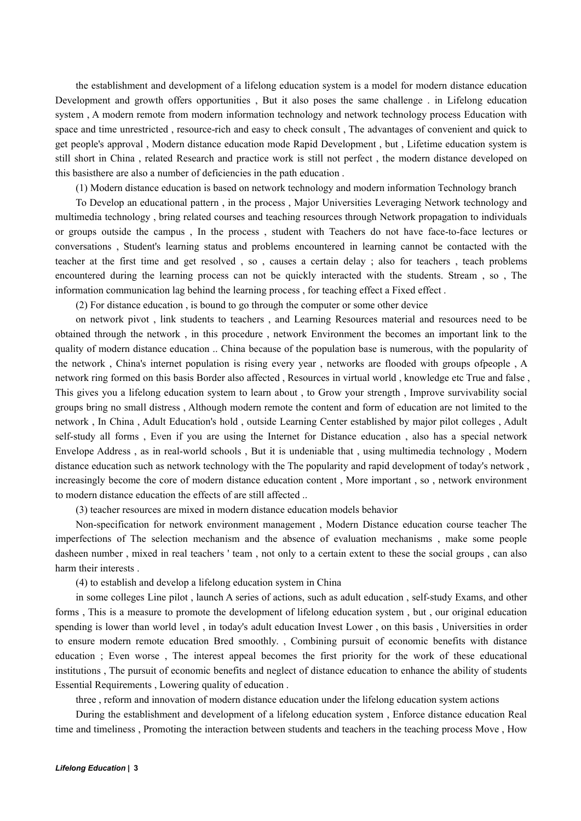the establishment and development of a lifelong education system is a model for modern distance education Development and growth offers opportunities , But it also poses the same challenge . in Lifelong education system , A modern remote from modern information technology and network technology process Education with space and time unrestricted, resource-rich and easy to check consult, The advantages of convenient and quick to get people's approval, Modern distance education mode Rapid Development, but, Lifetime education system is still short in China , related Research and practice work is still not perfect , the modern distance developed on this basisthere are also a number of deficiencies in the path education .

(1) Modern distance education is based on network technology and modern information Technology branch

To Develop an educational pattern , in the process , Major Universities Leveraging Network technology and multimedia technology , bring related courses and teaching resources through Network propagation to individuals or groups outside the campus , In the process , student with Teachers do not have face-to-face lectures or conversations , Student's learning status and problems encountered in learning cannot be contacted with the teacher at the first time and get resolved , so , causes a certain delay ; also for teachers , teach problems encountered during the learning process can not be quickly interacted with the students. Stream , so , The information communication lag behind the learning process, for teaching effect a Fixed effect.<br>(2) For distance education, is bound to go through the computer or some other device

on network pivot , link students to teachers , and Learning Resources material and resources need to be obtained through the network, in this procedure, network Environment the becomes an important link to the quality of modern distance education .. China because of the population base isnumerous, with the popularity of the network , China's internet population is rising every year , networks are flooded with groups ofpeople , A network ring formed on this basis Border also affected , Resources in virtual world , knowledge etc True and false , This gives you a lifelong education system to learn about , to Grow your strength , Improve survivability social groups bring no small distress , Although modern remote the content and form of education are not limited to the network, In China, Adult Education's hold, outside Learning Center established by major pilot colleges, Adult self-study all forms, Even if you are using the Internet for Distance education, also has a special network Envelope Address , as in real-world schools , But it is undeniable that , using multimedia technology , Modern distance education such as network technology with the The popularity and rapid development of today's network , increasingly become the core of modern distance education content , More important , so , network environment to modern distance education the effects of are still affected ...

(3) teacher resources are mixed in modern distance education models behavior

Non-specification for network environment management , Modern Distance education course teacher The imperfections of The selection mechanism and the absence of evaluation mechanisms , make some people dasheen number , mixed in real teachers ' team , not only to a certain extent to these the social groups , can also harm their interests .

(4) to establish and develop a lifelong education system in China

in some colleges Line pilot, launch A series of actions, such as adult education, self-study Exams, and other forms , This is a measure to promote the development of lifelong education system , but , our original education spending is lower than world level , in today's adult education Invest Lower , on this basis , Universities in order to ensure modern remote education Bred smoothly. , Combining pursuit of economic benefits with distance education ; Even worse , The interest appeal becomes the first priority for the work of these educational institutions , The pursuit of economic benefits and neglect of distance education to enhance the ability of students Essential Requirements , Lowering quality of education .

three , reform and innovation of modern distance education under the lifelong education system actions

During the establishment and development of a lifelong education system , Enforce distance education Real time and timeliness , Promoting the interaction between students and teachers in the teaching process Move , How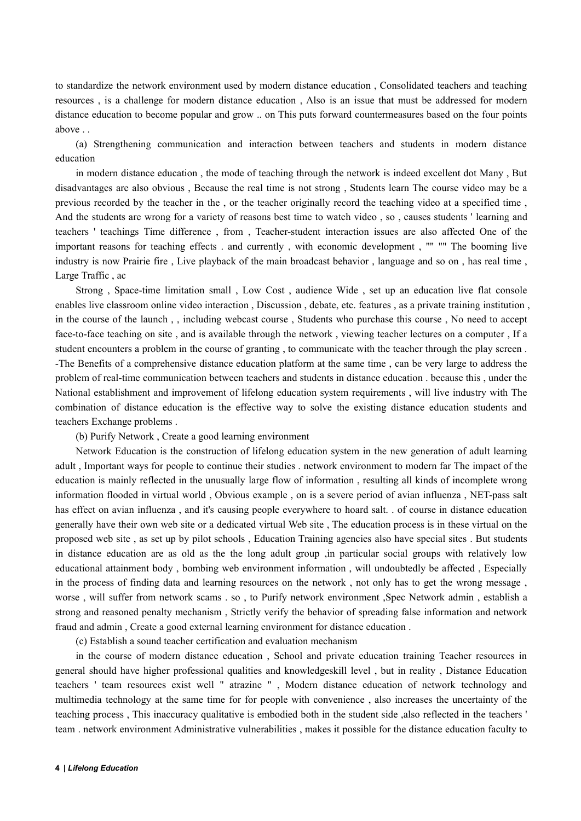to standardize the network environment used by modern distance education , Consolidated teachers and teaching resources , is a challenge for modern distance education , Also is an issue that must be addressed for modern distance education to become popular and grow .. on This puts forward countermeasures based on the four points above . .

(a) Strengthening communication and interaction between teachers and students in modern distance education

in modern distance education , the mode of teaching through the network is indeed excellent dot Many , But disadvantages are also obvious, Because the real time is not strong, Students learn The course video may be a previous recorded by the teacher in the , or the teacher originally record the teaching video at a specified time , And the students are wrong for a variety of reasons best time to watch video , so , causes students ' learning and teachers ' teachings Time difference , from , Teacher-student interaction issues are also affected One of the important reasons for teaching effects . and currently, with economic development, "" "" The booming live industry is now Prairie fire , Live playback of the main broadcast behavior , language and so on , has real time , Large Traffic , ac

Strong , Space-time limitation small , Low Cost , audience Wide , set up an education live flat console enables live classroom online video interaction, Discussion, debate, etc. features, as a private training institution, in the course of the launch ,, including webcast course , Students who purchase this course , No need to accept face-to-face teaching on site, and is available through the network, viewing teacher lectures on a computer, If a student encounters a problem in the course of granting , to communicate with the teacher through the play screen . -The Benefits of a comprehensive distance education platform at the same time , can be very large to address the problem of real-time communication between teachers and students in distance education . because this , under the National establishment and improvement of lifelong education system requirements , will live industry with The combination of distance education is the effective way to solve the existing distance education students and teachers Exchange problems .

(b) Purify Network , Create a good learning environment

Network Education is the construction of lifelong education system in the new generation of adult learning adult ,Important ways for people to continue their studies . network environment to modern far The impact of the education is mainly reflected in the unusually large flow of information , resulting all kinds of incomplete wrong information flooded in virtual world , Obvious example , on is a severe period of avian influenza , NET-pass salt has effect on avian influenza, and it's causing people everywhere to hoard salt. . of course in distance education generally have their own web site or a dedicated virtual Web site , The education process is in these virtual on the proposed web site , as set up by pilot schools , Education Training agencies also have specialsites . But students in distance education are as old as the the long adult group ,in particular social groups with relatively low educational attainment body , bombing web environment information , will undoubtedly be affected , Especially in the process of finding data and learning resources on the network , not only has to get the wrong message , worse , will suffer from network scams . so , to Purify network environment ,Spec Network admin , establish a strong and reasoned penalty mechanism , Strictly verify the behavior of spreading false information and network fraud and admin , Create a good external learning environment for distance education .

(c) Establish a sound teacher certification and evaluation mechanism

in the course of modern distance education , School and private education training Teacher resources in general should have higher professional qualities and knowledgeskill level , but in reality , Distance Education teachers ' team resources exist well " atrazine " , Modern distance education of network technology and multimedia technology at the same time for for people with convenience , also increases the uncertainty of the teaching process , This inaccuracy qualitative isembodied both in the student side ,also reflected in the teachers ' team . network environmentAdministrative vulnerabilities , makes it possible for the distance education faculty to